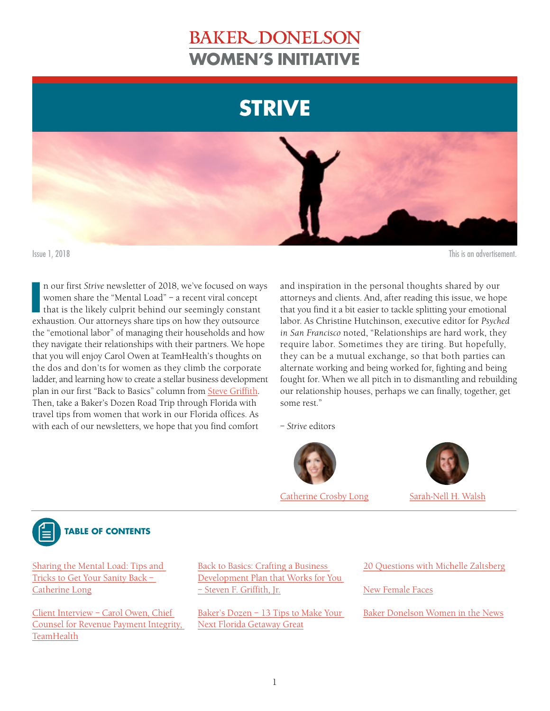# **BAKER DONELSON STRIVE WOMEN'S INITIATIVE**





**IV** n our first *Strive* newsletter of 2018, we've focused on way women share the "Mental Load" – a recent viral concept that is the likely culprit behind our seemingly constant exhaustion. Our attorneys share tips on how n our first *Strive* newsletter of 2018, we've focused on ways women share the "Mental Load" – a recent viral concept that is the likely culprit behind our seemingly constant the "emotional labor" of managing their households and how they navigate their relationships with their partners. We hope that you will enjoy Carol Owen at TeamHealth's thoughts on the dos and don'ts for women as they climb the corporate ladder, and learning how to create a stellar business development plan in our first "Back to Basics" column from [Steve Griffith.](https://www.bakerdonelson.com/Steve-F-Griffith-Jr) Then, take a Baker's Dozen Road Trip through Florida with travel tips from women that work in our Florida offices. As with each of our newsletters, we hope that you find comfort

Issue 1, 2018 This is an advertisement.

and inspiration in the personal thoughts shared by our attorneys and clients. And, after reading this issue, we hope that you find it a bit easier to tackle splitting your emotional labor. As Christine Hutchinson, executive editor for *Psyched in San Francisco* noted, "Relationships are hard work, they require labor. Sometimes they are tiring. But hopefully, they can be a mutual exchange, so that both parties can alternate working and being worked for, fighting and being fought for. When we all pitch in to dismantling and rebuilding our relationship houses, perhaps we can finally, together, get some rest."

– *Strive* editors



[Catherine Crosby Long](https://www.bakerdonelson.com/Catherine-Long) [Sarah-Nell H. Walsh](https://www.bakerdonelson.com/Sarah-Nell-H-Walsh)





Sharing the Mental Load: Tips and Tricks to Get Your Sanity Back [–](#page-1-0)  [Catherine Long](#page-1-0)

[Client Interview – C](#page-3-0)arol Owen, Chief Counsel for Revenue Payment Integrity, **TeamHealth** 

[Back to Basics: Crafting a Business](#page-5-0)  [Development Plan that Works for You](#page-5-0)  [– Steven F. Griffith, Jr.](#page-5-0)

[Baker's Dozen – 1](#page-6-0)3 Tips to Make Your Next Florida Getaway Great

[20 Questions with Michelle Zaltsberg](#page-7-0)

[New Female Faces](#page-9-0)

[Baker Donelson Women in the News](#page-10-0)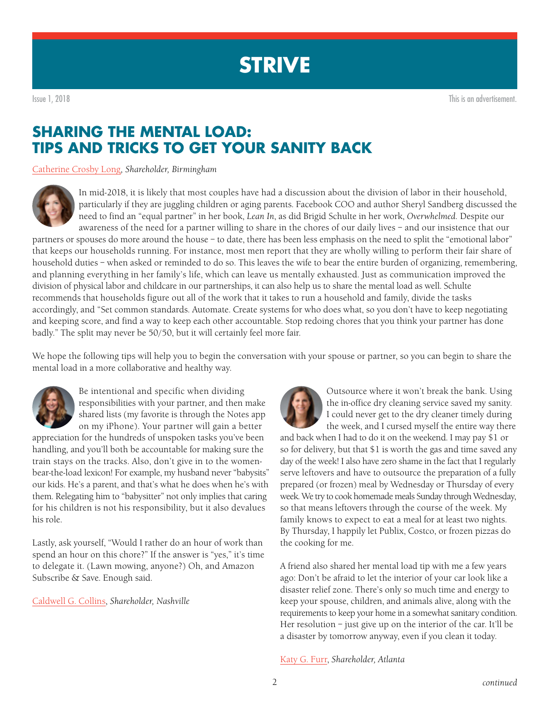<span id="page-1-0"></span>Issue 1, 2018 This is an advertisement.

## **SHARING THE MENTAL LOAD: TIPS AND TRICKS TO GET YOUR SANITY BACK**

[Catherine Crosby Long](https://www.bakerdonelson.com/Catherine-Long)*, Shareholder, Birmingham*



In mid-2018, it is likely that most couples have had a discussion about the division of labor in their household, particularly if they are juggling children or aging parents. Facebook COO and author Sheryl Sandberg discussed the need to find an "equal partner" in her book, *Lean In*, as did Brigid Schulte in her work, *Overwhelmed.* Despite our awareness of the need for a partner willing to share in the chores of our daily lives – and our insistence that our

partners or spouses do more around the house – to date, there has been less emphasis on the need to split the "emotional labor" that keeps our households running. For instance, most men report that they are wholly willing to perform their fair share of household duties – when asked or reminded to do so. This leaves the wife to bear the entire burden of organizing, remembering, and planning everything in her family's life, which can leave us mentally exhausted. Just as communication improved the division of physical labor and childcare in our partnerships, it can also help us to share the mental load as well. Schulte recommends that households figure out all of the work that it takes to run a household and family, divide the tasks accordingly, and "Set common standards. Automate. Create systems for who does what, so you don't have to keep negotiating and keeping score, and find a way to keep each other accountable. Stop redoing chores that you think your partner has done badly." The split may never be 50/50, but it will certainly feel more fair.

We hope the following tips will help you to begin the conversation with your spouse or partner, so you can begin to share the mental load in a more collaborative and healthy way.



Be intentional and specific when dividing responsibilities with your partner, and then make shared lists (my favorite is through the Notes app on my iPhone). Your partner will gain a better

appreciation for the hundreds of unspoken tasks you've been handling, and you'll both be accountable for making sure the train stays on the tracks. Also, don't give in to the womenbear-the-load lexicon! For example, my husband never "babysits" our kids. He's a parent, and that's what he does when he's with them. Relegating him to "babysitter" not only implies that caring for his children is not his responsibility, but it also devalues his role.

Lastly, ask yourself, "Would I rather do an hour of work than spend an hour on this chore?" If the answer is "yes," it's time to delegate it. (Lawn mowing, anyone?) Oh, and Amazon Subscribe & Save. Enough said.

[Caldwell G. Collins,](https://www.bakerdonelson.com/Caldwell-G-Collins) *Shareholder, Nashville*



Outsource where it won't break the bank. Using the in-office dry cleaning service saved my sanity. I could never get to the dry cleaner timely during the week, and I cursed myself the entire way there

and back when I had to do it on the weekend. I may pay \$1 or so for delivery, but that \$1 is worth the gas and time saved any day of the week! I also have zero shame in the fact that I regularly serve leftovers and have to outsource the preparation of a fully prepared (or frozen) meal by Wednesday or Thursday of every week. We try to cook homemade meals Sunday through Wednesday, so that means leftovers through the course of the week. My family knows to expect to eat a meal for at least two nights. By Thursday, I happily let Publix, Costco, or frozen pizzas do the cooking for me.

A friend also shared her mental load tip with me a few years ago: Don't be afraid to let the interior of your car look like a disaster relief zone. There's only so much time and energy to keep your spouse, children, and animals alive, along with the requirements to keep your home in a somewhat sanitary condition. Her resolution – just give up on the interior of the car. It'll be a disaster by tomorrow anyway, even if you clean it today.

[Katy G. Furr](https://www.bakerdonelson.com/Kathleen-G-Furr), *Shareholder, Atlanta*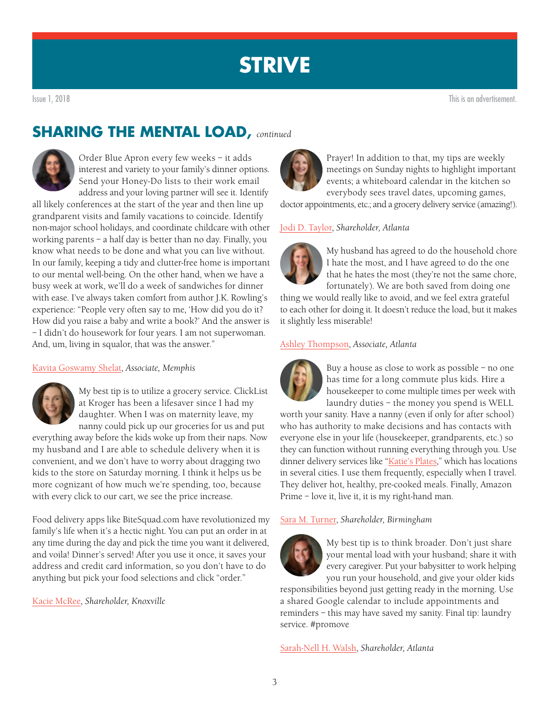### **SHARING THE MENTAL LOAD,** *continued*

Order Blue Apron every few weeks – it adds interest and variety to your family's dinner options. Send your Honey-Do lists to their work email address and your loving partner will see it. Identify

all likely conferences at the start of the year and then line up grandparent visits and family vacations to coincide. Identify non-major school holidays, and coordinate childcare with other working parents – a half day is better than no day. Finally, you know what needs to be done and what you can live without. In our family, keeping a tidy and clutter-free home is important to our mental well-being. On the other hand, when we have a busy week at work, we'll do a week of sandwiches for dinner with ease. I've always taken comfort from author J.K. Rowling's experience: "People very often say to me, 'How did you do it? How did you raise a baby and write a book?' And the answer is – I didn't do housework for four years. I am not superwoman. And, um, living in squalor, that was the answer."

### [Kavita Goswamy Shelat](https://www.bakerdonelson.com/Kavita-Goswamy-Shelat), *Associate, Memphis*



My best tip is to utilize a grocery service. ClickList at Kroger has been a lifesaver since I had my daughter. When I was on maternity leave, my nanny could pick up our groceries for us and put

everything away before the kids woke up from their naps. Now my husband and I are able to schedule delivery when it is convenient, and we don't have to worry about dragging two kids to the store on Saturday morning. I think it helps us be more cognizant of how much we're spending, too, because with every click to our cart, we see the price increase.

Food delivery apps like BiteSquad.com have revolutionized my family's life when it's a hectic night. You can put an order in at any time during the day and pick the time you want it delivered, and voila! Dinner's served! After you use it once, it saves your address and credit card information, so you don't have to do anything but pick your food selections and click "order."

[Kacie McRee,](https://www.bakerdonelson.com/Kacie-McRee) *Shareholder, Knoxville* 



Prayer! In addition to that, my tips are weekly meetings on Sunday nights to highlight important events; a whiteboard calendar in the kitchen so everybody sees travel dates, upcoming games,

doctor appointments, etc.; and a grocery delivery service (amazing!).

### [Jodi D. Taylor,](https://www.bakerdonelson.com/Jodi-D-Taylor) *Shareholder, Atlanta*



My husband has agreed to do the household chore I hate the most, and I have agreed to do the one that he hates the most (they're not the same chore, fortunately). We are both saved from doing one

thing we would really like to avoid, and we feel extra grateful to each other for doing it. It doesn't reduce the load, but it makes it slightly less miserable!

### [Ashley Thompson,](https://www.bakerdonelson.com/Ashley-S-Thompson) *Associate, Atlanta*



Buy a house as close to work as possible – no one has time for a long commute plus kids. Hire a housekeeper to come multiple times per week with laundry duties – the money you spend is WELL

worth your sanity. Have a nanny (even if only for after school) who has authority to make decisions and has contacts with everyone else in your life (housekeeper, grandparents, etc.) so they can function without running everything through you. Use dinner delivery services like ["Katie's Plates](https://www.katiesplates.com/)," which has locations in several cities. I use them frequently, especially when I travel. They deliver hot, healthy, pre-cooked meals. Finally, Amazon Prime – love it, live it, it is my right-hand man.

### [Sara M. Turner](https://www.bakerdonelson.com/Sara-Turner), *Shareholder, Birmingham*



My best tip is to think broader. Don't just share your mental load with your husband; share it with every caregiver. Put your babysitter to work helping you run your household, and give your older kids

responsibilities beyond just getting ready in the morning. Use a shared Google calendar to include appointments and reminders – this may have saved my sanity. Final tip: laundry service. #promove

[Sarah-Nell H. Walsh,](https://www.bakerdonelson.com/Sarah-Nell-H-Walsh) *Shareholder, Atlanta*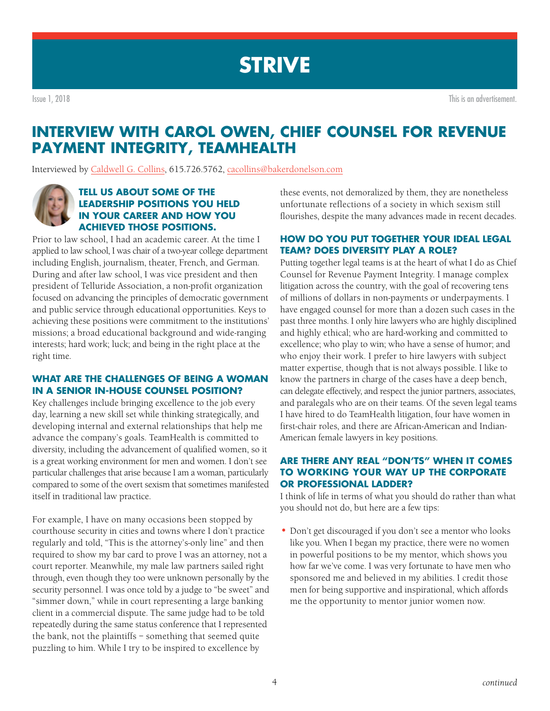<span id="page-3-0"></span>Issue 1, 2018 This is an advertisement.

## **INTERVIEW WITH CAROL OWEN, CHIEF COUNSEL FOR REVENUE PAYMENT INTEGRITY, TEAMHEALTH**

Interviewed by [Caldwell G. Collins](https://www.bakerdonelson.com/Caldwell-G-Collins), 615.726.5762, [cacollins@bakerdonelson.com](mailto:cacollins%40bakerdonelson.com?subject=)



### **TELL US ABOUT SOME OF THE LEADERSHIP POSITIONS YOU HELD IN YOUR CAREER AND HOW YOU ACHIEVED THOSE POSITIONS.**

Prior to law school, I had an academic career. At the time I applied to law school, I was chair of a two-year college department including English, journalism, theater, French, and German. During and after law school, I was vice president and then president of Telluride Association, a non-profit organization focused on advancing the principles of democratic government and public service through educational opportunities. Keys to achieving these positions were commitment to the institutions' missions; a broad educational background and wide-ranging interests; hard work; luck; and being in the right place at the right time.

### **WHAT ARE THE CHALLENGES OF BEING A WOMAN IN A SENIOR IN-HOUSE COUNSEL POSITION?**

Key challenges include bringing excellence to the job every day, learning a new skill set while thinking strategically, and developing internal and external relationships that help me advance the company's goals. TeamHealth is committed to diversity, including the advancement of qualified women, so it is a great working environment for men and women. I don't see particular challenges that arise because I am a woman, particularly compared to some of the overt sexism that sometimes manifested itself in traditional law practice.

For example, I have on many occasions been stopped by courthouse security in cities and towns where I don't practice regularly and told, "This is the attorney's-only line" and then required to show my bar card to prove I was an attorney, not a court reporter. Meanwhile, my male law partners sailed right through, even though they too were unknown personally by the security personnel. I was once told by a judge to "be sweet" and "simmer down," while in court representing a large banking client in a commercial dispute. The same judge had to be told repeatedly during the same status conference that I represented the bank, not the plaintiffs – something that seemed quite puzzling to him. While I try to be inspired to excellence by

these events, not demoralized by them, they are nonetheless unfortunate reflections of a society in which sexism still flourishes, despite the many advances made in recent decades.

### **HOW DO YOU PUT TOGETHER YOUR IDEAL LEGAL TEAM? DOES DIVERSITY PLAY A ROLE?**

Putting together legal teams is at the heart of what I do as Chief Counsel for Revenue Payment Integrity. I manage complex litigation across the country, with the goal of recovering tens of millions of dollars in non-payments or underpayments. I have engaged counsel for more than a dozen such cases in the past three months. I only hire lawyers who are highly disciplined and highly ethical; who are hard-working and committed to excellence; who play to win; who have a sense of humor; and who enjoy their work. I prefer to hire lawyers with subject matter expertise, though that is not always possible. I like to know the partners in charge of the cases have a deep bench, can delegate effectively, and respect the junior partners, associates, and paralegals who are on their teams. Of the seven legal teams I have hired to do TeamHealth litigation, four have women in first-chair roles, and there are African-American and Indian-American female lawyers in key positions.

### **ARE THERE ANY REAL "DON'TS" WHEN IT COMES TO WORKING YOUR WAY UP THE CORPORATE OR PROFESSIONAL LADDER?**

I think of life in terms of what you should do rather than what you should not do, but here are a few tips:

**•** Don't get discouraged if you don't see a mentor who looks like you. When I began my practice, there were no women in powerful positions to be my mentor, which shows you how far we've come. I was very fortunate to have men who sponsored me and believed in my abilities. I credit those men for being supportive and inspirational, which affords me the opportunity to mentor junior women now.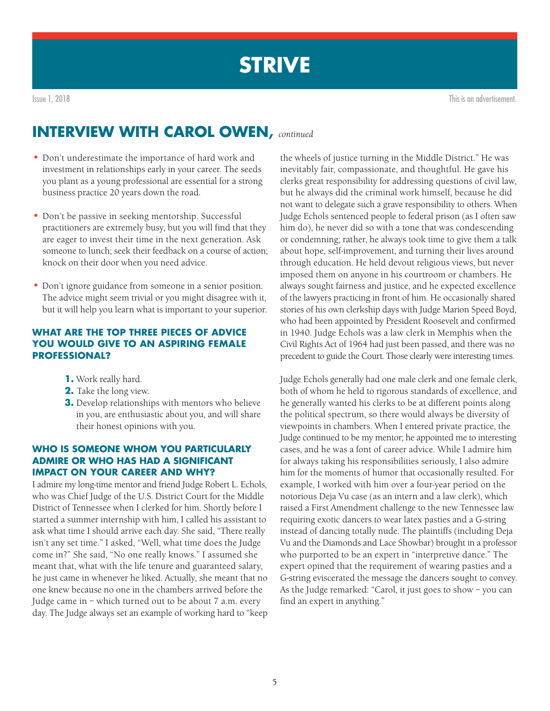

Issue 1, 2018 This is an advertisement.

## **INTERVIEW WITH CAROL OWEN,** *continued*

- Don't underestimate the importance of hard work and investment in relationships early in your career. The seeds you plant as a young professional are essential for a strong business practice 20 years down the road.
- Don't be passive in seeking mentorship. Successful practitioners are extremely busy, but you will find that they are eager to invest their time in the next generation. Ask someone to lunch; seek their feedback on a course of action; knock on their door when you need advice.
- Don't ignore guidance from someone in a senior position. The advice might seem trivial or you might disagree with it, but it will help you learn what is important to your superior.

### **WHAT ARE THE TOP THREE PIECES OF ADVICE YOU WOULD GIVE TO AN ASPIRING FEMALE PROFESSIONAL?**

- **1.** Work really hard.
- **2.** Take the long view.
- **3.** Develop relationships with mentors who believe in you, are enthusiastic about you, and will share their honest opinions with you.

### **WHO IS SOMEONE WHOM YOU PARTICULARLY ADMIRE OR WHO HAS HAD A SIGNIFICANT IMPACT ON YOUR CAREER AND WHY?**

I admire my long-time mentor and friend Judge Robert L. Echols, who was Chief Judge of the U.S. District Court for the Middle District of Tennessee when I clerked for him. Shortly before I started a summer internship with him, I called his assistant to ask what time I should arrive each day. She said, "There really isn't any set time." I asked, "Well, what time does the Judge come in?" She said, "No one really knows." I assumed she meant that, what with the life tenure and guaranteed salary, he just came in whenever he liked. Actually, she meant that no one knew because no one in the chambers arrived before the Judge came in – which turned out to be about 7 a.m. every day. The Judge always set an example of working hard to "keep

the wheels of justice turning in the Middle District." He was inevitably fair, compassionate, and thoughtful. He gave his clerks great responsibility for addressing questions of civil law, but he always did the criminal work himself, because he did not want to delegate such a grave responsibility to others. When Judge Echols sentenced people to federal prison (as I often saw him do), he never did so with a tone that was condescending or condemning; rather, he always took time to give them a talk about hope, self-improvement, and turning their lives around through education. He held devout religious views, but never imposed them on anyone in his courtroom or chambers. He always sought fairness and justice, and he expected excellence of the lawyers practicing in front of him. He occasionally shared stories of his own clerkship days with Judge Marion Speed Boyd, who had been appointed by President Roosevelt and confirmed in 1940. Judge Echols was a law clerk in Memphis when the Civil Rights Act of 1964 had just been passed, and there was no precedent to guide the Court. Those clearly were interesting times.

Judge Echols generally had one male clerk and one female clerk, both of whom he held to rigorous standards of excellence, and he generally wanted his clerks to be at different points along the political spectrum, so there would always be diversity of viewpoints in chambers. When I entered private practice, the Judge continued to be my mentor; he appointed me to interesting cases, and he was a font of career advice. While I admire him for always taking his responsibilities seriously, I also admire him for the moments of humor that occasionally resulted. For example, I worked with him over a four-year period on the notorious Deja Vu case (as an intern and a law clerk), which raised a First Amendment challenge to the new Tennessee law requiring exotic dancers to wear latex pasties and a G-string instead of dancing totally nude. The plaintiffs (including Deja Vu and the Diamonds and Lace Showbar) brought in a professor who purported to be an expert in "interpretive dance." The expert opined that the requirement of wearing pasties and a G-string eviscerated the message the dancers sought to convey. As the Judge remarked: "Carol, it just goes to show – you can find an expert in anything."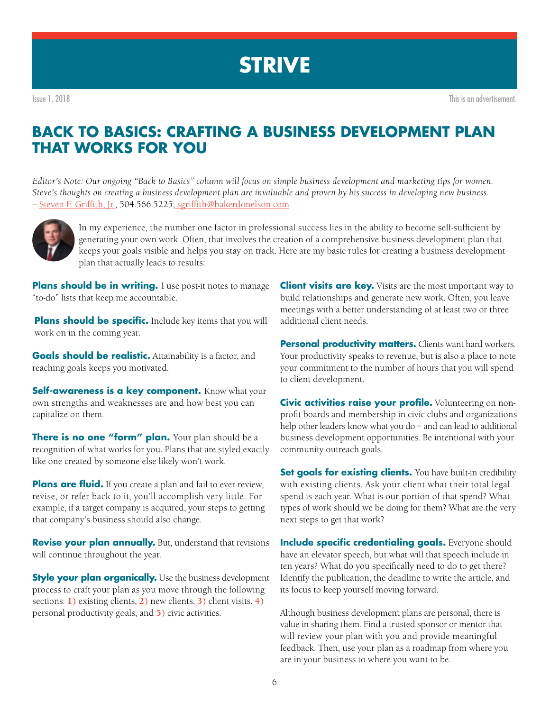## <span id="page-5-0"></span>**BACK TO BASICS: CRAFTING A BUSINESS DEVELOPMENT PLAN THAT WORKS FOR YOU**

*Editor's Note: Our ongoing "Back to Basics" column will focus on simple business development and marketing tips for women. Steve's thoughts on creating a business development plan are invaluable and proven by his success in developing new business. –* [Steven F. Griffith, Jr.](https://www.bakerdonelson.com/Steve-F-Griffith-Jr), 504.566.5225, [sgriffith@bakerdonelson.com](mailto:mailto:sgriffith%40bakerdonelson.com?subject=)



In my experience, the number one factor in professional success lies in the ability to become self-sufficient by generating your own work. Often, that involves the creation of a comprehensive business development plan that keeps your goals visible and helps you stay on track. Here are my basic rules for creating a business development plan that actually leads to results:

**Plans should be in writing.** I use post-it notes to manage "to-do" lists that keep me accountable.

**Plans should be specific.** Include key items that you will work on in the coming year.

**Goals should be realistic.** Attainability is a factor, and reaching goals keeps you motivated.

**Self-awareness is a key component.** Know what your own strengths and weaknesses are and how best you can capitalize on them.

**There is no one "form" plan.** Your plan should be a recognition of what works for you. Plans that are styled exactly like one created by someone else likely won't work.

**Plans are fluid.** If you create a plan and fail to ever review, revise, or refer back to it, you'll accomplish very little. For example, if a target company is acquired, your steps to getting that company's business should also change.

**Revise your plan annually.** But, understand that revisions will continue throughout the year.

**Style your plan organically.** Use the business development process to craft your plan as you move through the following sections: **1)** existing clients, **2)** new clients, **3)** client visits, **4)** personal productivity goals, and **5)** civic activities.

**Client visits are key.** Visits are the most important way to build relationships and generate new work. Often, you leave meetings with a better understanding of at least two or three additional client needs.

**Personal productivity matters.** Clients want hard workers. Your productivity speaks to revenue, but is also a place to note your commitment to the number of hours that you will spend to client development.

**Civic activities raise your profile.** Volunteering on nonprofit boards and membership in civic clubs and organizations help other leaders know what you do – and can lead to additional business development opportunities. Be intentional with your community outreach goals.

**Set goals for existing clients.** You have built-in credibility with existing clients. Ask your client what their total legal spend is each year. What is our portion of that spend? What types of work should we be doing for them? What are the very next steps to get that work?

**Include specific credentialing goals.** Everyone should have an elevator speech, but what will that speech include in ten years? What do you specifically need to do to get there? Identify the publication, the deadline to write the article, and its focus to keep yourself moving forward.

Although business development plans are personal, there is value in sharing them. Find a trusted sponsor or mentor that will review your plan with you and provide meaningful feedback. Then, use your plan as a roadmap from where you are in your business to where you want to be.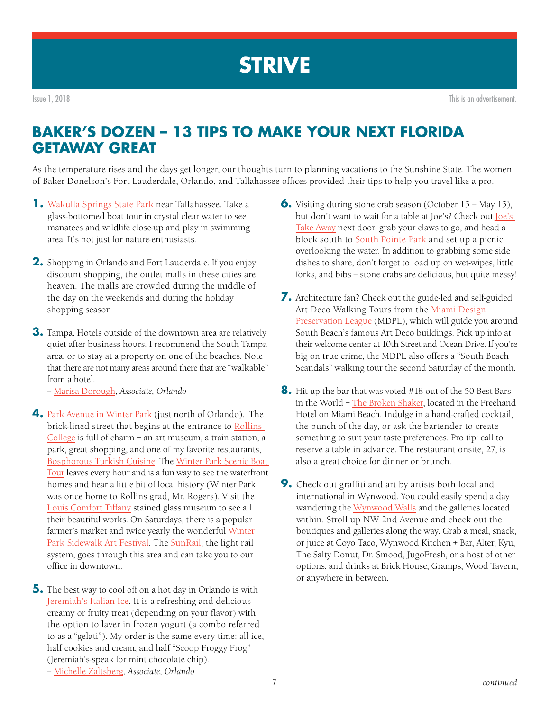<span id="page-6-0"></span>Issue 1, 2018 This is an advertisement.

## **BAKER'S DOZEN – 13 TIPS TO MAKE YOUR NEXT FLORIDA GETAWAY GREAT**

As the temperature rises and the days get longer, our thoughts turn to planning vacations to the Sunshine State. The women of Baker Donelson's Fort Lauderdale, Orlando, and Tallahassee offices provided their tips to help you travel like a pro.

- **1.** [Wakulla Springs State Park](https://www.floridastateparks.org/park/Wakulla-Springs) near Tallahassee. Take a glass-bottomed boat tour in crystal clear water to see manatees and wildlife close-up and play in swimming area. It's not just for nature-enthusiasts.
- **2.** Shopping in Orlando and Fort Lauderdale. If you enjoy discount shopping, the outlet malls in these cities are heaven. The malls are crowded during the middle of the day on the weekends and during the holiday shopping season
- **3.** Tampa. Hotels outside of the downtown area are relatively quiet after business hours. I recommend the South Tampa area, or to stay at a property on one of the beaches. Note that there are not many areas around there that are "walkable" from a hotel.
	- [Marisa Dorough,](https://www.bakerdonelson.com/marisa-rosen-dorough) *Associate, Orlando*
- **4.** [Park Avenue in Winter Park \(](https://winterpark.org/park-avenue)just north of Orlando). The brick-lined street that begins at the entrance to [Rollins](http://www.rollins.edu/)  [College](http://www.rollins.edu/) is full of charm – an art museum, a train station, a park, great shopping, and one of my favorite restaurants, [Bosphorous Turkish Cuisine.](https://www.bosphorousrestaurant.com/) The [Winter Park Scenic Boat](http://www.scenicboattours.com/)  [Tour](http://www.scenicboattours.com/) leaves every hour and is a fun way to see the waterfront homes and hear a little bit of local history (Winter Park was once home to Rollins grad, Mr. Rogers). Visit the [Louis Comfort Tiffany](http://www.morsemuseum.org/) stained glass museum to see all their beautiful works. On Saturdays, there is a popular farmer's market and twice yearly the wonderful [Winter](http://wpsaf.org)  [Park Sidewalk Art Festival.](http://wpsaf.org) The [SunRail,](http://sunrail.com/) the light rail system, goes through this area and can take you to our office in downtown.
- **5.** The best way to cool off on a hot day in Orlando is with [Jeremiah's Italian Ice](https://jeremiahsice.com/). It is a refreshing and delicious creamy or fruity treat (depending on your flavor) with the option to layer in frozen yogurt (a combo referred to as a "gelati"). My order is the same every time: all ice, half cookies and cream, and half "Scoop Froggy Frog" (Jeremiah's-speak for mint chocolate chip). – [Michelle Zaltsberg](https://www.bakerdonelson.com/Michelle-F-Zaltsberg), *Associate, Orlando*
- **6.** Visiting during stone crab season (October 15 May 15), but don't want to wait for a table at Joe's? Check out [Joe's](https://www.joesstonecrab.com/joes-take-away)  [Take Away](https://www.joesstonecrab.com/joes-take-away) next door, grab your claws to go, and head a block south to [South Pointe Park](http://www.miamiandbeaches.com/beach/miami-beach-south-pointe-park/110482) and set up a picnic overlooking the water. In addition to grabbing some side dishes to share, don't forget to load up on wet-wipes, little forks, and bibs – stone crabs are delicious, but quite messy!
- **7.** Architecture fan? Check out the guide-led and self-guided Art Deco Walking Tours from the [Miami Design](http://www.mdpl.org/tours/guided-walking-tours/)  [Preservation League](http://www.mdpl.org/tours/guided-walking-tours/) (MDPL), which will guide you around South Beach's famous Art Deco buildings. Pick up info at their welcome center at 10th Street and Ocean Drive. If you're big on true crime, the MDPL also offers a "South Beach Scandals" walking tour the second Saturday of the month.
- **8.** Hit up the bar that was voted #18 out of the 50 Best Bars in the World – [The Broken Shaker](https://freehandhotels.com/miami/broken-shaker/), located in the Freehand Hotel on Miami Beach. Indulge in a hand-crafted cocktail, the punch of the day, or ask the bartender to create something to suit your taste preferences. Pro tip: call to reserve a table in advance. The restaurant onsite, 27, is also a great choice for dinner or brunch.
- **9.** Check out graffiti and art by artists both local and international in Wynwood. You could easily spend a day wandering the [Wynwood Walls](http://www.thewynwoodwalls.com/) and the galleries located within. Stroll up NW 2nd Avenue and check out the boutiques and galleries along the way. Grab a meal, snack, or juice at Coyo Taco, Wynwood Kitchen + Bar, Alter, Kyu, The Salty Donut, Dr. Smood, JugoFresh, or a host of other options, and drinks at Brick House, Gramps, Wood Tavern, or anywhere in between.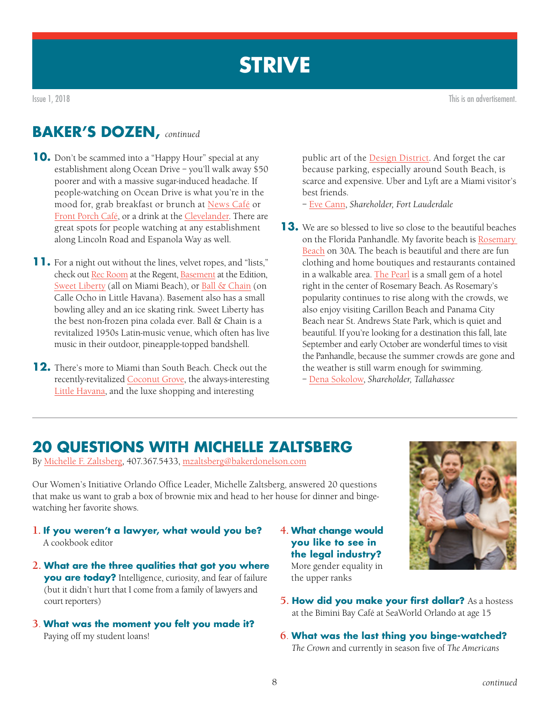<span id="page-7-0"></span>Issue 1, 2018 This is an advertisement.

### **BAKER'S DOZEN,** *continued*

- **10.** Don't be scammed into a "Happy Hour" special at any establishment along Ocean Drive – you'll walk away \$50 poorer and with a massive sugar-induced headache. If people-watching on Ocean Drive is what you're in the mood for, grab breakfast or brunch at [News Café](http://www.newscafe.com/) or [Front Porch Café](http://www.frontporchoceandrive.com/), or a drink at the [Clevelander.](https://www.clevelander.com/clevelander-dining-options.htm) There are great spots for people watching at any establishment along Lincoln Road and Espanola Way as well.
- **11.** For a night out without the lines, velvet ropes, and "lists," check out [Rec Room](https://winterhavenhotelsobe.com/locations/the-regent-cocktail-club/) at the Regent, [Basement](https://www.editionhotels.com/miami-beach/basement/) at the Edition, [Sweet Liberty](https://mysweetliberty.com/?utm_source=local&utm_medium=organic&utm_campaign=gmb) (all on Miami Beach), or [Ball & Chain](https://ballandchainmiami.com/) (on Calle Ocho in Little Havana). Basement also has a small bowling alley and an ice skating rink. Sweet Liberty has the best non-frozen pina colada ever. Ball & Chain is a revitalized 1950s Latin-music venue, which often has live music in their outdoor, pineapple-topped bandshell.
- **12.** There's more to Miami than South Beach. Check out the recently-revitalized [Coconut Grove](https://www.coconutgrove.com/), the always-interesting [Little Havana](http://www.miamiandbeaches.com/places-to-see/little-havana), and the luxe shopping and interesting

public art of the [Design District.](https://www.miamidesigndistrict.net/) And forget the car because parking, especially around South Beach, is scarce and expensive. Uber and Lyft are a Miami visitor's best friends.

– [Eve Cann,](https://www.bakerdonelson.com/Eve-A-Cann) *Shareholder, Fort Lauderdale*

**13.** We are so blessed to live so close to the beautiful beaches on the Florida Panhandle. My favorite beach is [Rosemary](https://www.visitsouthwalton.com/beaches/rosemary-beach)  [Beach](https://www.visitsouthwalton.com/beaches/rosemary-beach) on 30A. The beach is beautiful and there are fun clothing and home boutiques and restaurants contained in a walkable area. [The Pearl](http://www.thepearlrb.com/) is a small gem of a hotel right in the center of Rosemary Beach. As Rosemary's popularity continues to rise along with the crowds, we also enjoy visiting Carillon Beach and Panama City Beach near St. Andrews State Park, which is quiet and beautiful. If you're looking for a destination this fall, late September and early October are wonderful times to visit the Panhandle, because the summer crowds are gone and the weather is still warm enough for swimming. – [Dena Sokolow,](https://www.bakerdonelson.com/dena-h-sokolow) *Shareholder, Tallahassee*

## **20 QUESTIONS WITH MICHELLE ZALTSBERG**

By [Michelle F. Zaltsberg](https://www.bakerdonelson.com/Michelle-F-Zaltsberg), 407.367.5433, [mzaltsberg@bakerdonelson.com](mailto:mzaltsberg%40bakerdonelson.com?subject=)

Our Women's Initiative Orlando Office Leader, Michelle Zaltsberg, answered 20 questions that make us want to grab a box of brownie mix and head to her house for dinner and bingewatching her favorite shows.

- **1. If you weren't a lawyer, what would you be?**  A cookbook editor
- **2. What are the three qualities that got you where you are today?** Intelligence, curiosity, and fear of failure (but it didn't hurt that I come from a family of lawyers and court reporters)
- **3**. **What was the moment you felt you made it?**  Paying off my student loans!
- **4. What change would you like to see in the legal industry?**

More gender equality in the upper ranks



- **5. How did you make your first dollar?** As a hostess at the Bimini Bay Café at SeaWorld Orlando at age 15
- **6**. **What was the last thing you binge-watched?**  *The Crown* and currently in season five of *The Americans*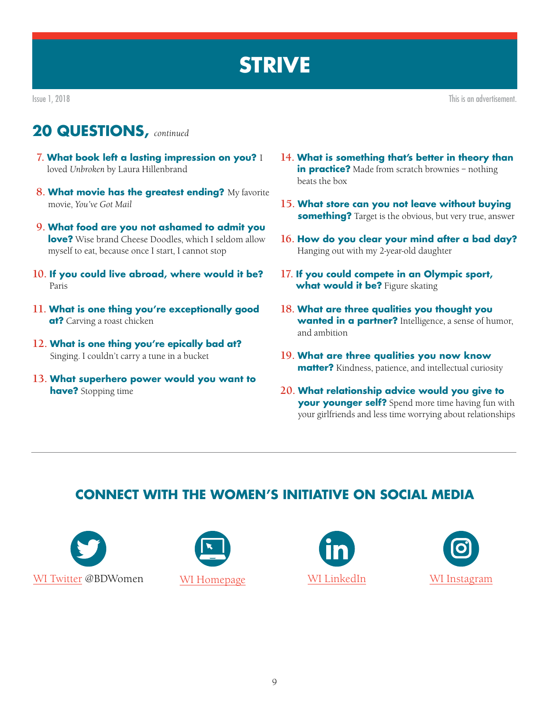Issue 1, 2018 This is an advertisement.

## **20 QUESTIONS,** *continued*

- **7. What book left a lasting impression on you?** I loved *Unbroken* by Laura Hillenbrand
- **8. What movie has the greatest ending?** My favorite movie, *You've Got Mail*
- **9. What food are you not ashamed to admit you love?** Wise brand Cheese Doodles, which I seldom allow myself to eat, because once I start, I cannot stop
- **10. If you could live abroad, where would it be?** Paris
- **11. What is one thing you're exceptionally good at?** Carving a roast chicken
- **12. What is one thing you're epically bad at?** Singing. I couldn't carry a tune in a bucket
- **13. What superhero power would you want to have?** Stopping time
- **14. What is something that's better in theory than in practice?** Made from scratch brownies - nothing beats the box
- **15. What store can you not leave without buying something?** Target is the obvious, but very true, answer
- **16. How do you clear your mind after a bad day?** Hanging out with my 2-year-old daughter
- **17. If you could compete in an Olympic sport, what would it be?** Figure skating
- **18. What are three qualities you thought you wanted in a partner?** Intelligence, a sense of humor, and ambition
- **19. What are three qualities you now know matter?** Kindness, patience, and intellectual curiosity
- **20. What relationship advice would you give to your younger self?** Spend more time having fun with your girlfriends and less time worrying about relationships

## **CONNECT WITH THE WOMEN'S INITIATIVE ON SOCIAL MEDIA**







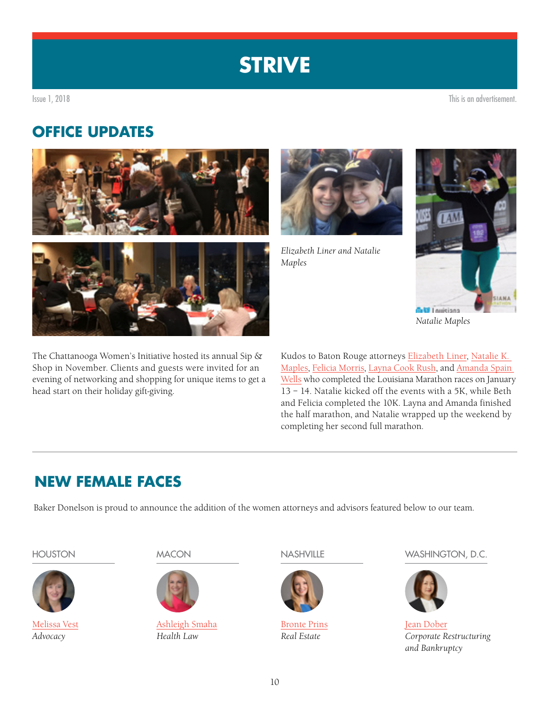<span id="page-9-0"></span>Issue 1, 2018 This is an advertisement.

## **OFFICE UPDATES**



The Chattanooga Women's Initiative hosted its annual Sip & Shop in November. Clients and guests were invited for an evening of networking and shopping for unique items to get a head start on their holiday gift-giving.



*Elizabeth Liner and Natalie Maples*



*Natalie Maples*

Kudos to Baton Rouge attorneys [Elizabeth Liner,](https://www.bakerdonelson.com/elizabeth-liner) [Natalie K.](https://www.bakerdonelson.com/natalie-k-maples)  [Maples](https://www.bakerdonelson.com/natalie-k-maples), [Felicia Morris,](https://www.bakerdonelson.com/felicia-morris) [Layna Cook Rush](https://www.bakerdonelson.com/Layna-S-Cook), and [Amanda Spain](https://www.bakerdonelson.com/amanda-spain-wells)  [Wells](https://www.bakerdonelson.com/amanda-spain-wells) who completed the Louisiana Marathon races on January 13 – 14. Natalie kicked off the events with a 5K, while Beth and Felicia completed the 10K. Layna and Amanda finished the half marathon, and Natalie wrapped up the weekend by completing her second full marathon.

## **NEW FEMALE FACES**

Baker Donelson is proud to announce the addition of the women attorneys and advisors featured below to our team.



[Melissa Vest](https://www.bakerdonelson.com/melissa-vest) *Advocacy*



[Ashleigh Smaha](https://www.bakerdonelson.com/ashleigh-smaha) *Health Law*



[Bronte Prins](https://www.bakerdonelson.com/bronte-g-prins) *Real Estate*

HOUSTON MACON NASHVILLE WASHINGTON, D.C.



[Jean Dober](https://www.bakerdonelson.com/jean-dober) *Corporate Restructuring and Bankruptcy*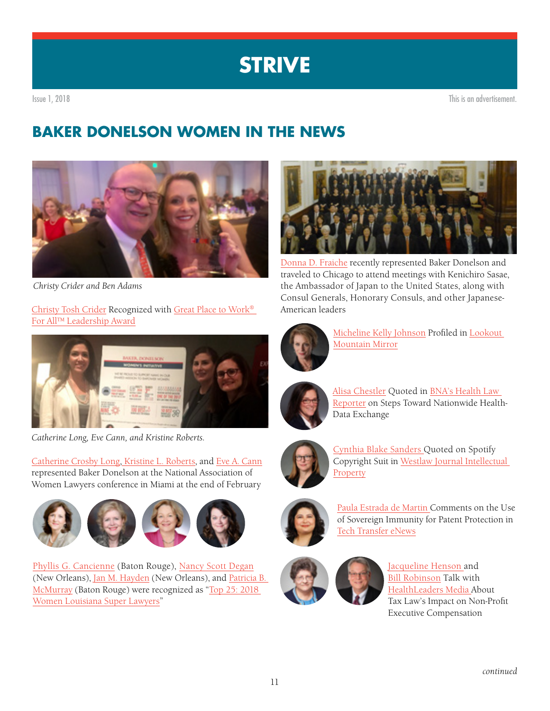<span id="page-10-0"></span>

## **BAKER DONELSON WOMEN IN THE NEWS**



*Christy Crider and Ben Adams*

[Christy Tosh Crider](https://www.bakerdonelson.com/Christy-T-Crider) Recognized with [Great Place to Work®](https://www.bakerdonelson.com/baker-donelsons-christy-tosh-crider-recognized-with-great-place-to-work-for-all-leadership-award)  [For All™ Leadership Award](https://www.bakerdonelson.com/baker-donelsons-christy-tosh-crider-recognized-with-great-place-to-work-for-all-leadership-award)



*Catherine Long, Eve Cann, and Kristine Roberts.*

[Catherine Crosby Long,](https://www.bakerdonelson.com/Catherine-Long) [Kristine L. Roberts](https://www.bakerdonelson.com/Kristine-L-Roberts), and [Eve A. Cann](https://www.bakerdonelson.com/Eve-A-Cann) represented Baker Donelson at the National Association of Women Lawyers conference in Miami at the end of February



[Phyllis G. Cancienne](https://www.bakerdonelson.com/Phyllis-Cancienne) (Baton Rouge), [Nancy Scott Degan](https://www.bakerdonelson.com/Nancy-Degan) (New Orleans), [Jan M. Hayden](https://www.bakerdonelson.com/jan-m-hayden) (New Orleans), and Patricia B. [McMurray](https://www.bakerdonelson.com/Patricia-B-McMurray) (Baton Rouge) were recognized as "[Top 25: 2018](https://www.bakerdonelson.com/29-baker-donelson-attorneys-named-to-2018-louisiana-super-lawyers-list)  [Women Louisiana Super Lawyers"](https://www.bakerdonelson.com/29-baker-donelson-attorneys-named-to-2018-louisiana-super-lawyers-list)



[Donna D. Fraiche](https://www.bakerdonelson.com/Donna-Fraiche) recently represented Baker Donelson and traveled to Chicago to attend meetings with Kenichiro Sasae, the Ambassador of Japan to the United States, along with Consul Generals, Honorary Consuls, and other Japanese-American leaders



[Micheline Kelly Johnson](https://www.bakerdonelson.com/Micheline-K-Johnson) Profiled in [Lookout](https://www.bakerdonelson.com/webfiles/Bios/MKJohnson-Lookout-Mountain-Mirror.pdf)  [Mountain Mirror](https://www.bakerdonelson.com/webfiles/Bios/MKJohnson-Lookout-Mountain-Mirror.pdf)



[Alisa Chestler](https://www.bakerdonelson.com/Alisa-L-Chestler) Quoted in [BNA's Health Law](https://www.bakerdonelson.com/webfiles/Bios/BBNA-Health_Chestler.pdf)  [Reporter](https://www.bakerdonelson.com/webfiles/Bios/BBNA-Health_Chestler.pdf) on Steps Toward Nationwide Health-Data Exchange



[Cynthia Blake Sanders Q](https://www.bakerdonelson.com/cynthia-blake-sanders)uoted on Spotify Copyright Suit in [Westlaw Journal Intellectual](https://www.bakerdonelson.com/webfiles/Bios/Westlaw-Journal-IP-Jan-17-2018.pdf)  **[Property](https://www.bakerdonelson.com/webfiles/Bios/Westlaw-Journal-IP-Jan-17-2018.pdf)** 



[Paula Estrada de Martin C](https://www.bakerdonelson.com/paula-estrada-de-martin)omments on the Use of Sovereign Immunity for Patent Protection in [Tech Transfer eNews](http://techtransfercentral.com/2018/01/17/attorney-dont-put-too-much-faith-in-sovereign-immunity/)



[Jacqueline Henson a](https://www.bakerdonelson.com/jacqueline-a-henson)nd [Bill Robinson](https://www.bakerdonelson.com/William-E-Robinson) Talk with [HealthLeaders Media A](http://www.healthleadersmedia.com/leadership/attorneys-new-tax-law-nonprofits-dont-know-whats-hit-them-yet)bout Tax Law's Impact on Non-Profit Executive Compensation